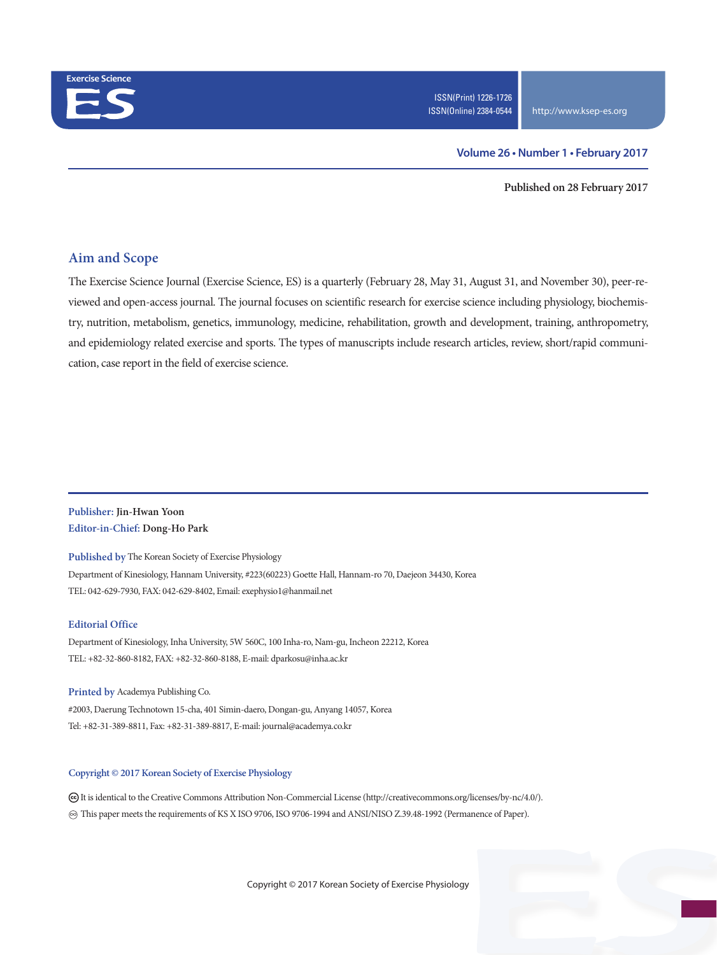

#### **Volume 26 • Number 1 • February 2017**

**Published on 28 February 2017**

#### **Aim and Scope**

The Exercise Science Journal (Exercise Science, ES) is a quarterly (February 28, May 31, August 31, and November 30), peer-reviewed and open-access journal. The journal focuses on scientific research for exercise science including physiology, biochemistry, nutrition, metabolism, genetics, immunology, medicine, rehabilitation, growth and development, training, anthropometry, and epidemiology related exercise and sports. The types of manuscripts include research articles, review, short/rapid communication, case report in the field of exercise science.

#### **Publisher: Jin-Hwan Yoon Editor-in-Chief: Dong-Ho Park**

**Published by** The Korean Society of Exercise Physiology Department of Kinesiology, Hannam University, #223(60223) Goette Hall, Hannam-ro 70, Daejeon 34430, Korea TEL: 042-629-7930, FAX: 042-629-8402, Email: exephysio1@hanmail.net

#### **Editorial Office**

Department of Kinesiology, Inha University, 5W 560C, 100 Inha-ro, Nam-gu, Incheon 22212, Korea TEL: +82-32-860-8182, FAX: +82-32-860-8188, E-mail: dparkosu@inha.ac.kr

**Printed by** Academya Publishing Co. #2003, Daerung Technotown 15-cha, 401 Simin-daero, Dongan-gu, Anyang 14057, Korea Tel: +82-31-389-8811, Fax: +82-31-389-8817, E-mail: journal@academya.co.kr

#### **Copyright © 2017 Korean Society of Exercise Physiology**

 It is identical to the Creative Commons Attribution Non-Commercial License (http://creativecommons.org/licenses/by-nc/4.0/). ∞ This paper meets the requirements of KS X ISO 9706, ISO 9706-1994 and ANSI/NISO Z.39.48-1992 (Permanence of Paper).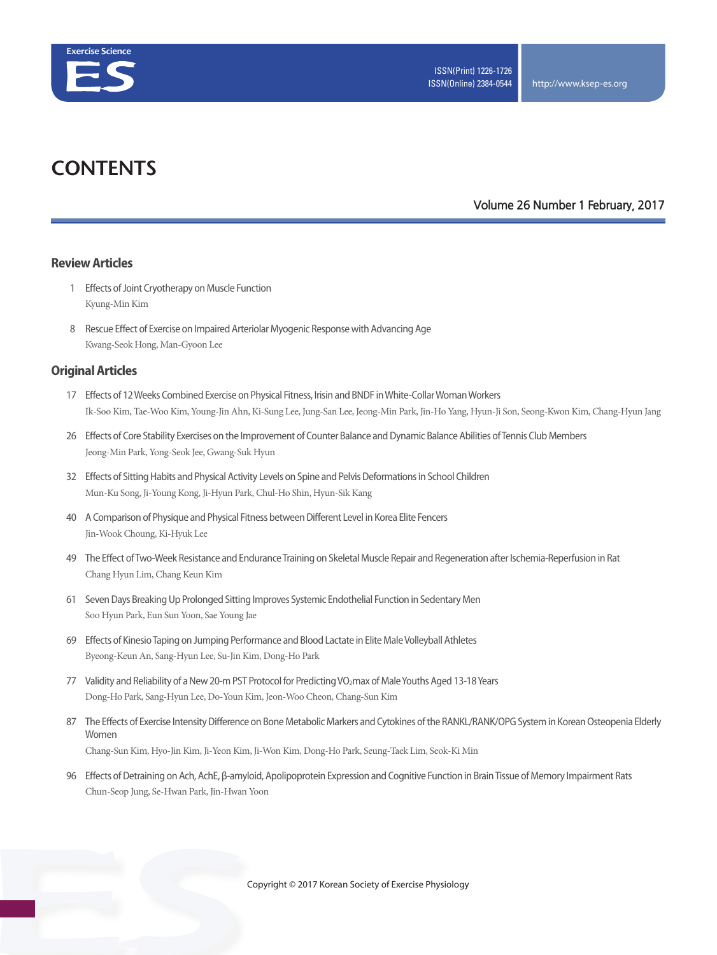

## **CONTENTS**

#### **Volume 26 Number 1 February, 2017**

#### **Review Articles**

- 1 Effects of Joint Cryotherapy on Muscle Function Kyung-Min Kim
- 8 Rescue Effect of Exercise on Impaired Arteriolar Myogenic Response with Advancing Age Kwang-Seok Hong, Man-Gyoon Lee

#### **Original Articles**

- 17 Effects of 12 Weeks Combined Exercise on Physical Fitness, Irisin and BNDF in White-Collar Woman Workers Ik-Soo Kim, Tae-Woo Kim, Young-Jin Ahn, Ki-Sung Lee, Jung-San Lee, Jeong-Min Park, Jin-Ho Yang, Hyun-Ji Son, Seong-Kwon Kim, Chang-Hyun Jang
- 26 Effects of Core Stability Exercises on the Improvement of Counter Balance and Dynamic Balance Abilities of Tennis Club Members Jeong-Min Park, Yong-Seok Jee, Gwang-Suk Hyun
- 32 Effects of Sitting Habits and Physical Activity Levels on Spine and Pelvis Deformations in School Children Mun-Ku Song, Ji-Young Kong, Ji-Hyun Park, Chul-Ho Shin, Hyun-Sik Kang
- 40 A Comparison of Physique and Physical Fitness between Different Level in Korea Elite Fencers Jin-Wook Choung, Ki-Hyuk Lee
- 49 The Effect of Two-Week Resistance and Endurance Training on Skeletal Muscle Repair and Regeneration after Ischemia-Reperfusion in Rat Chang Hyun Lim, Chang Keun Kim
- 61 Seven Days Breaking Up Prolonged Sitting Improves Systemic Endothelial Function in Sedentary Men Soo Hyun Park, Eun Sun Yoon, Sae Young Jae
- 69 Effects of Kinesio Taping on Jumping Performance and Blood Lactate in Elite Male Volleyball Athletes Byeong-Keun An, Sang-Hyun Lee, Su-Jin Kim, Dong-Ho Park
- 77 Validity and Reliability of a New 20-m PST Protocol for Predicting VO<sub>2</sub>max of Male Youths Aged 13-18 Years Dong-Ho Park, Sang-Hyun Lee, Do-Youn Kim, Jeon-Woo Cheon, Chang-Sun Kim
- 87 The Effects of Exercise Intensity Difference on Bone Metabolic Markers and Cytokines of the RANKL/RANK/OPG System in Korean Osteopenia Elderly Women Chang-Sun Kim, Hyo-Jin Kim, Ji-Yeon Kim, Ji-Won Kim, Dong-Ho Park, Seung-Taek Lim, Seok-Ki Min
- 96 Effects of Detraining on Ach, AchE, β-amyloid, Apolipoprotein Expression and Cognitive Function in Brain Tissue of Memory Impairment Rats Chun-Seop Jung, Se-Hwan Park, Jin-Hwan Yoon